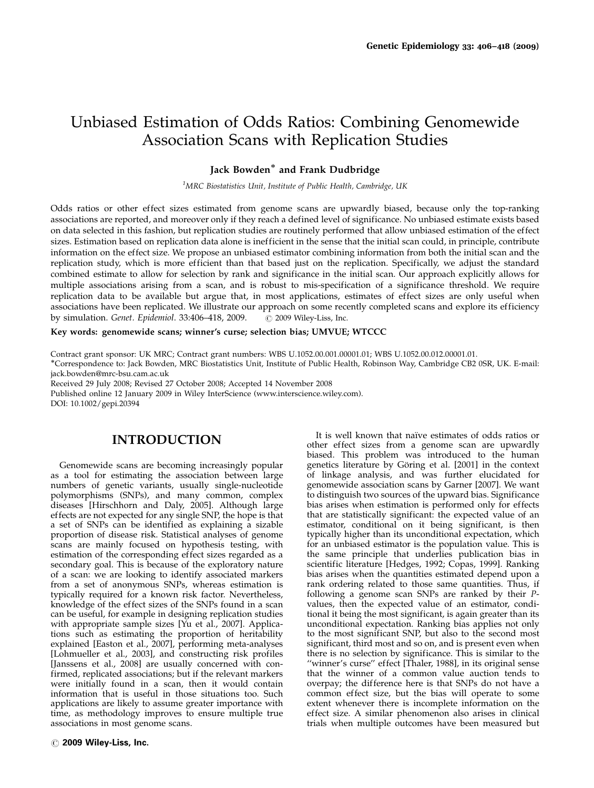# Unbiased Estimation of Odds Ratios: Combining Genomewide Association Scans with Replication Studies

## Jack Bowden<sup>\*</sup> and Frank Dudbridge

<sup>1</sup>MRC Biostatistics Unit, Institute of Public Health, Cambridge, UK

Odds ratios or other effect sizes estimated from genome scans are upwardly biased, because only the top-ranking associations are reported, and moreover only if they reach a defined level of significance. No unbiased estimate exists based on data selected in this fashion, but replication studies are routinely performed that allow unbiased estimation of the effect sizes. Estimation based on replication data alone is inefficient in the sense that the initial scan could, in principle, contribute information on the effect size. We propose an unbiased estimator combining information from both the initial scan and the replication study, which is more efficient than that based just on the replication. Specifically, we adjust the standard combined estimate to allow for selection by rank and significance in the initial scan. Our approach explicitly allows for multiple associations arising from a scan, and is robust to mis-specification of a significance threshold. We require replication data to be available but argue that, in most applications, estimates of effect sizes are only useful when associations have been replicated. We illustrate our approach on some recently completed scans and explore its efficiency by simulation. Genet. Epidemiol. 33:406–418, 2009. @ 2009 Wiley-Liss, Inc.

Key words: genomewide scans; winner's curse; selection bias; UMVUE; WTCCC

Contract grant sponsor: UK MRC; Contract grant numbers: WBS U.1052.00.001.00001.01; WBS U.1052.00.012.00001.01.

-Correspondence to: Jack Bowden, MRC Biostatistics Unit, Institute of Public Health, Robinson Way, Cambridge CB2 0SR, UK. E-mail: jack.bowden@mrc-bsu.cam.ac.uk

Received 29 July 2008; Revised 27 October 2008; Accepted 14 November 2008

Published online 12 January 2009 in Wiley InterScience (www.interscience.wiley.com).

DOI: 10.1002/gepi.20394

## INTRODUCTION

Genomewide scans are becoming increasingly popular as a tool for estimating the association between large numbers of genetic variants, usually single-nucleotide polymorphisms (SNPs), and many common, complex diseases [Hirschhorn and Daly, 2005]. Although large effects are not expected for any single SNP, the hope is that a set of SNPs can be identified as explaining a sizable proportion of disease risk. Statistical analyses of genome scans are mainly focused on hypothesis testing, with estimation of the corresponding effect sizes regarded as a secondary goal. This is because of the exploratory nature of a scan: we are looking to identify associated markers from a set of anonymous SNPs, whereas estimation is typically required for a known risk factor. Nevertheless, knowledge of the effect sizes of the SNPs found in a scan can be useful, for example in designing replication studies with appropriate sample sizes [Yu et al., 2007]. Applications such as estimating the proportion of heritability explained [Easton et al., 2007], performing meta-analyses [Lohmueller et al., 2003], and constructing risk profiles [Janssens et al., 2008] are usually concerned with confirmed, replicated associations; but if the relevant markers were initially found in a scan, then it would contain information that is useful in those situations too. Such applications are likely to assume greater importance with time, as methodology improves to ensure multiple true associations in most genome scans.

It is well known that naïve estimates of odds ratios or other effect sizes from a genome scan are upwardly biased. This problem was introduced to the human genetics literature by Göring et al. [2001] in the context of linkage analysis, and was further elucidated for genomewide association scans by Garner [2007]. We want to distinguish two sources of the upward bias. Significance bias arises when estimation is performed only for effects that are statistically significant: the expected value of an estimator, conditional on it being significant, is then typically higher than its unconditional expectation, which for an unbiased estimator is the population value. This is the same principle that underlies publication bias in scientific literature [Hedges, 1992; Copas, 1999]. Ranking bias arises when the quantities estimated depend upon a rank ordering related to those same quantities. Thus, if following a genome scan SNPs are ranked by their Pvalues, then the expected value of an estimator, conditional it being the most significant, is again greater than its unconditional expectation. Ranking bias applies not only to the most significant SNP, but also to the second most significant, third most and so on, and is present even when there is no selection by significance. This is similar to the "winner's curse" effect [Thaler, 1988], in its original sense that the winner of a common value auction tends to overpay; the difference here is that SNPs do not have a common effect size, but the bias will operate to some extent whenever there is incomplete information on the effect size. A similar phenomenon also arises in clinical trials when multiple outcomes have been measured but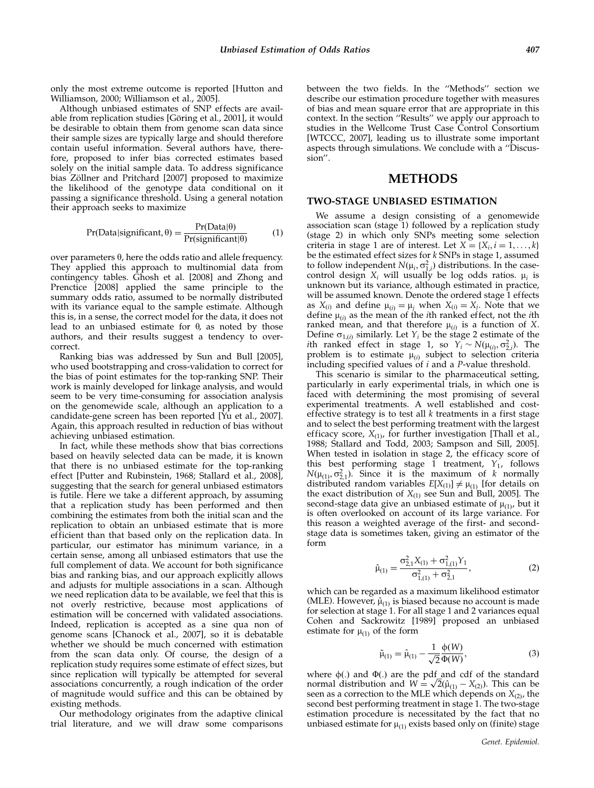only the most extreme outcome is reported [Hutton and Williamson, 2000; Williamson et al., 2005].

Although unbiased estimates of SNP effects are available from replication studies [Göring et al., 2001], it would be desirable to obtain them from genome scan data since their sample sizes are typically large and should therefore contain useful information. Several authors have, therefore, proposed to infer bias corrected estimates based solely on the initial sample data. To address significance bias Zöllner and Pritchard [2007] proposed to maximize the likelihood of the genotype data conditional on it passing a significance threshold. Using a general notation their approach seeks to maximize

$$
Pr(Data|significant, \theta) = \frac{Pr(Data|\theta)}{Pr(signification|\theta)} \tag{1}
$$

over parameters  $\theta$ , here the odds ratio and allele frequency. They applied this approach to multinomial data from contingency tables. Ghosh et al. [2008] and Zhong and Prenctice [2008] applied the same principle to the summary odds ratio, assumed to be normally distributed with its variance equal to the sample estimate. Although this is, in a sense, the correct model for the data, it does not lead to an unbiased estimate for  $\theta$ , as noted by those authors, and their results suggest a tendency to overcorrect.

Ranking bias was addressed by Sun and Bull [2005], who used bootstrapping and cross-validation to correct for the bias of point estimates for the top-ranking SNP. Their work is mainly developed for linkage analysis, and would seem to be very time-consuming for association analysis on the genomewide scale, although an application to a candidate-gene screen has been reported [Yu et al., 2007]. Again, this approach resulted in reduction of bias without achieving unbiased estimation.

In fact, while these methods show that bias corrections based on heavily selected data can be made, it is known that there is no unbiased estimate for the top-ranking effect [Putter and Rubinstein, 1968; Stallard et al., 2008], suggesting that the search for general unbiased estimators is futile. Here we take a different approach, by assuming that a replication study has been performed and then combining the estimates from both the initial scan and the replication to obtain an unbiased estimate that is more efficient than that based only on the replication data. In particular, our estimator has minimum variance, in a certain sense, among all unbiased estimators that use the full complement of data. We account for both significance bias and ranking bias, and our approach explicitly allows and adjusts for multiple associations in a scan. Although we need replication data to be available, we feel that this is not overly restrictive, because most applications of estimation will be concerned with validated associations. Indeed, replication is accepted as a sine qua non of genome scans [Chanock et al., 2007], so it is debatable whether we should be much concerned with estimation from the scan data only. Of course, the design of a replication study requires some estimate of effect sizes, but since replication will typically be attempted for several associations concurrently, a rough indication of the order of magnitude would suffice and this can be obtained by existing methods.

Our methodology originates from the adaptive clinical trial literature, and we will draw some comparisons

between the two fields. In the ''Methods'' section we describe our estimation procedure together with measures of bias and mean square error that are appropriate in this context. In the section ''Results'' we apply our approach to studies in the Wellcome Trust Case Control Consortium [WTCCC, 2007], leading us to illustrate some important aspects through simulations. We conclude with a ''Discussion''.

## METHODS

#### TWO-STAGE UNBIASED ESTIMATION

We assume a design consisting of a genomewide association scan (stage 1) followed by a replication study (stage 2) in which only SNPs meeting some selection criteria in stage 1 are of interest. Let  $X = \{X_i, i = 1, \ldots, k\}$ be the estimated effect sizes for  $k$  SNPs in stage 1, assumed to follow independent  $N(\mu_i, \sigma_{1,i}^2)$  distributions. In the casecontrol design  $X_i$  will usually be log odds ratios.  $\mu_i$  is unknown but its variance, although estimated in practice, will be assumed known. Denote the ordered stage 1 effects as  $X_{(i)}$  and define  $\mu_{(i)} = \mu_i$  when  $X_{(i)} = X_i$ . Note that we define  $\mu_{(i)}$  as the mean of the *i*th ranked effect, not the *i*th ranked mean, and that therefore  $\mu_{(i)}$  is a function of X. Define  $\sigma_{1,(i)}$  similarly. Let  $Y_i$  be the stage 2 estimate of the *i*th ranked effect in stage 1, so  $Y_i \sim N(\mu_{(i)}, \sigma_{2,i}^2)$ . The problem is to estimate  $\mu_{(i)}$  subject to selection criteria including specified values of i and a P-value threshold.

This scenario is similar to the pharmaceutical setting, particularly in early experimental trials, in which one is faced with determining the most promising of several experimental treatments. A well established and costeffective strategy is to test all  $k$  treatments in a first stage and to select the best performing treatment with the largest efficacy score,  $X_{(1)}$ , for further investigation [Thall et al., 1988; Stallard and Todd, 2003; Sampson and Sill, 2005]. When tested in isolation in stage 2, the efficacy score of this best performing stage 1 treatment,  $Y_1$ , follows  $N(\mu_{(1)}, \sigma_{2,1}^2)$ . Since it is the maximum of k normally distributed random variables  $E[X_{(1)}] \neq \mu_{(1)}$  [for details on the exact distribution of  $X_{(1)}$  see Sun and Bull, 2005]. The second-stage data give an unbiased estimate of  $\mu_{(1)}$ , but it is often overlooked on account of its large variance. For this reason a weighted average of the first- and secondstage data is sometimes taken, giving an estimator of the form

$$
\hat{\mu}_{(1)} = \frac{\sigma_{2,1}^2 X_{(1)} + \sigma_{1,(1)}^2 Y_1}{\sigma_{1,(1)}^2 + \sigma_{2,1}^2},\tag{2}
$$

which can be regarded as a maximum likelihood estimator (MLE). However,  $\hat{\mu}_{(1)}$  is biased because no account is made for selection at stage 1. For all stage 1 and 2 variances equal Cohen and Sackrowitz [1989] proposed an unbiased estimate for  $\mu_{(1)}$  of the form

$$
\tilde{\mu}_{(1)} = \hat{\mu}_{(1)} - \frac{1}{\sqrt{2}} \frac{\phi(W)}{\Phi(W)},
$$
\n(3)

where  $\phi(.)$  and  $\Phi(.)$  are the pdf and cdf of the standard where  $\varphi(.)$  and  $\Psi(.)$  are the pdf and cdf of the standard<br>normal distribution and  $W = \sqrt{2}(\hat{\mu}_{(1)} - X_{(2)})$ . This can be seen as a correction to the MLE which depends on  $X_{(2)}$ , the second best performing treatment in stage 1. The two-stage estimation procedure is necessitated by the fact that no unbiased estimate for  $\mu_{(1)}$  exists based only on (finite) stage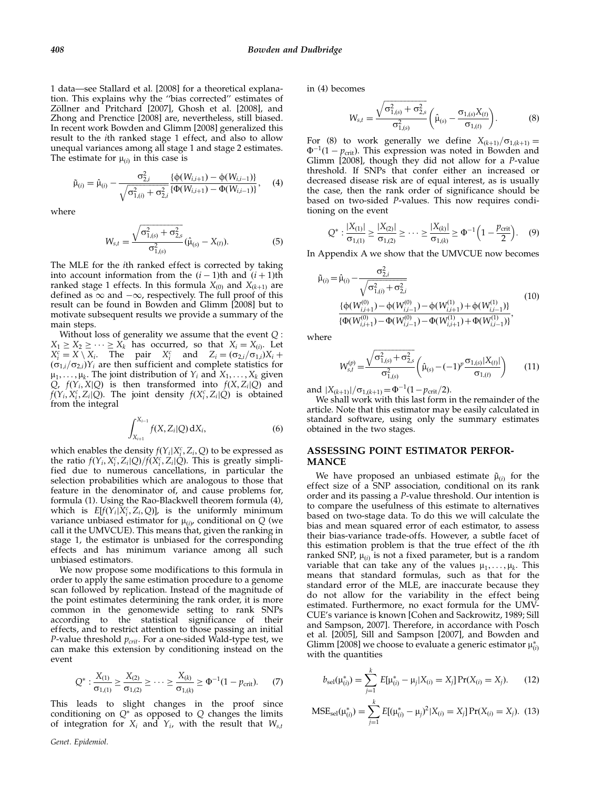1 data—see Stallard et al. [2008] for a theoretical explanation. This explains why the ''bias corrected'' estimates of Zöllner and Pritchard [2007], Ghosh et al. [2008], and Zhong and Prenctice [2008] are, nevertheless, still biased. In recent work Bowden and Glimm [2008] generalized this result to the ith ranked stage 1 effect, and also to allow unequal variances among all stage 1 and stage 2 estimates. The estimate for  $\mu_{(i)}$  in this case is

$$
\tilde{\mu}_{(i)} = \hat{\mu}_{(i)} - \frac{\sigma_{2,i}^2}{\sqrt{\sigma_{1,(i)}^2 + \sigma_{2,i}^2}} \frac{\{\phi(W_{i,i+1}) - \phi(W_{i,i-1})\}}{\{\Phi(W_{i,i+1}) - \Phi(W_{i,i-1})\}}, \quad (4)
$$

where

$$
W_{s,t} = \frac{\sqrt{\sigma_{1(s)}^2 + \sigma_{2,s}^2}}{\sigma_{1(s)}^2} (\hat{\mu}_{(s)} - X_{(t)}).
$$
 (5)

The MLE for the ith ranked effect is corrected by taking into account information from the  $(i - 1)$ th and  $(i + 1)$ th ranked stage 1 effects. In this formula  $X_{(0)}$  and  $X_{(k+1)}$  are defined as  $\infty$  and  $-\infty$ , respectively. The full proof of this result can be found in Bowden and Glimm [2008] but to motivate subsequent results we provide a summary of the main steps.

Without loss of generality we assume that the event  $Q$ :  $X_1 \geq X_2 \geq \cdots \geq X_k$  has occurred, so that  $X_i = X_{(i)}$ . Let  $X_i^c = X \setminus X_i$ . The pair  $X_i^c$  and  $Z_i = (\sigma_{2,i}/\sigma_{1,i})X_i +$  $(\sigma_{1,i}/\sigma_{2,i})Y_i$  are then sufficient and complete statistics for  $\mu_1, \ldots, \mu_k$ . The joint distribution of  $Y_i$  and  $X_1, \ldots, X_k$  given Q,  $f(Y_i, X|Q)$  is then transformed into  $f(X, Z_i|Q)$  and  $f(Y_i, X_i^c, Z_i|Q)$ . The joint density  $f(X_i^c, Z_i|Q)$  is obtained from the integral

$$
\int_{X_{i+1}}^{X_{i-1}} f(X, Z_i | Q) \, dX_i, \tag{6}
$$

which enables the density  $f(Y_i|X_i^c, Z_i, Q)$  to be expressed as the ratio  $f(Y_i, X_i^c, Z_i | Q) / f(X_i^c, Z_i | Q)$ . This is greatly simplified due to numerous cancellations, in particular the selection probabilities which are analogous to those that feature in the denominator of, and cause problems for, formula (1). Using the Rao-Blackwell theorem formula (4), which is  $E[f(Y_i|X_i^c, Z_i, Q)]$ , is the uniformly minimum variance unbiased estimator for  $\mu_{(i)}$ , conditional on Q (we call it the UMVCUE). This means that, given the ranking in stage 1, the estimator is unbiased for the corresponding effects and has minimum variance among all such unbiased estimators.

We now propose some modifications to this formula in order to apply the same estimation procedure to a genome scan followed by replication. Instead of the magnitude of the point estimates determining the rank order, it is more common in the genomewide setting to rank SNPs according to the statistical significance of their effects, and to restrict attention to those passing an initial P-value threshold  $p_{crit}$ . For a one-sided Wald-type test, we can make this extension by conditioning instead on the event

$$
Q^*: \frac{X_{(1)}}{\sigma_{1,(1)}} \ge \frac{X_{(2)}}{\sigma_{1,(2)}} \ge \cdots \ge \frac{X_{(k)}}{\sigma_{1,(k)}} \ge \Phi^{-1}(1 - p_{\text{crit}}). \tag{7}
$$

This leads to slight changes in the proof since conditioning on  $Q^*$  as opposed to  $Q$  changes the limits of integration for  $X_i$  and  $Y_i$ , with the result that  $W_{s,t}$ 

in (4) becomes

$$
W_{s,t} = \frac{\sqrt{\sigma_{1,(s)}^2 + \sigma_{2,s}^2}}{\sigma_{1,(s)}^2} \left(\hat{\mu}_{(s)} - \frac{\sigma_{1,(s)} X_{(t)}}{\sigma_{1,(t)}}\right).
$$
 (8)

For (8) to work generally we define  $X_{(k+1)}/\sigma_{1,(k+1)}=$  $\Phi^{-1}(1 - p_{\text{crit}})$ . This expression was noted in Bowden and Glimm [2008], though they did not allow for a P-value threshold. If SNPs that confer either an increased or decreased disease risk are of equal interest, as is usually the case, then the rank order of significance should be based on two-sided P-values. This now requires conditioning on the event

$$
Q^*: \frac{|X_{(1)}|}{\sigma_{1,(1)}} \ge \frac{|X_{(2)}|}{\sigma_{1,(2)}} \ge \cdots \ge \frac{|X_{(k)}|}{\sigma_{1,(k)}} \ge \Phi^{-1}\left(1 - \frac{p_{\text{crit}}}{2}\right). \tag{9}
$$

In Appendix A we show that the UMVCUE now becomes

$$
\tilde{\mu}_{(i)} = \hat{\mu}_{(i)} - \frac{\sigma_{2,i}^2}{\sqrt{\sigma_{1,(i)}^2 + \sigma_{2,i}^2}} \n\frac{\{\phi(W_{i,i+1}^{(0)}) - \phi(W_{i,i-1}^{(0)}) - \phi(W_{i,i+1}^{(1)}) + \phi(W_{i,i-1}^{(1)})\}}{\{\Phi(W_{i,i+1}^{(0)}) - \Phi(W_{i,i-1}^{(0)}) - \Phi(W_{i,i+1}^{(1)}) + \Phi(W_{i,i-1}^{(1)})\}},
$$
\n(10)

where

$$
W_{s,t}^{(p)} = \frac{\sqrt{\sigma_{1,(s)}^2 + \sigma_{2,s}^2}}{\sigma_{1,(s)}^2} \left(\hat{\mu}_{(s)} - (-1)^p \frac{\sigma_{1,(s)} |X_{(t)}|}{\sigma_{1,(t)}}\right) \tag{11}
$$

and  $|X_{(k+1)}|/\sigma_{1,(k+1)} = \Phi^{-1}(1-p_{\rm crit}/2).$ 

We shall work with this last form in the remainder of the article. Note that this estimator may be easily calculated in standard software, using only the summary estimates obtained in the two stages.

## ASSESSING POINT ESTIMATOR PERFOR-MANCE

We have proposed an unbiased estimate  $\tilde{\mu}_{(i)}$  for the effect size of a SNP association, conditional on its rank order and its passing a P-value threshold. Our intention is to compare the usefulness of this estimate to alternatives based on two-stage data. To do this we will calculate the bias and mean squared error of each estimator, to assess their bias-variance trade-offs. However, a subtle facet of this estimation problem is that the true effect of the ith ranked SNP,  $\mu_{\hat{\omega}}$  is not a fixed parameter, but is a random variable that can take any of the values  $\mu_1, \ldots, \mu_k$ . This means that standard formulas, such as that for the standard error of the MLE, are inaccurate because they do not allow for the variability in the effect being estimated. Furthermore, no exact formula for the UMV-CUE's variance is known [Cohen and Sackrowitz, 1989; Sill and Sampson, 2007]. Therefore, in accordance with Posch et al. [2005], Sill and Sampson [2007], and Bowden and Glimm [2008] we choose to evaluate a generic estimator  $\mu_{(i)}^*$ with the quantities

$$
b_{\text{sel}}(\mu_{(i)}^*) = \sum_{j=1}^k E[\mu_{(i)}^* - \mu_j | X_{(i)} = X_j] \Pr(X_{(i)} = X_j). \tag{12}
$$

$$
MSE_{\text{sel}}(\mu_{(i)}^*) = \sum_{j=1}^k E[(\mu_{(i)}^* - \mu_j)^2 | X_{(i)} = X_j] \Pr(X_{(i)} = X_j). \tag{13}
$$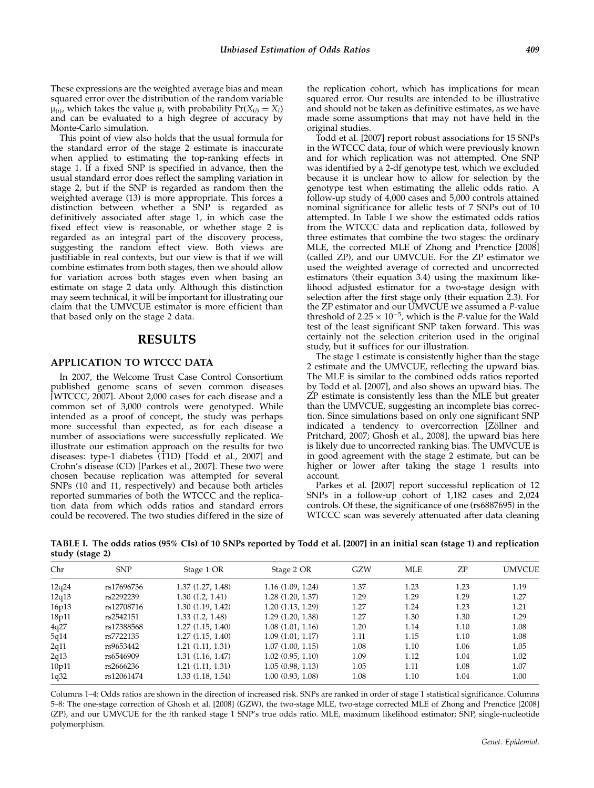These expressions are the weighted average bias and mean squared error over the distribution of the random variable  $\mu_{(i)}$ , which takes the value  $\mu_i$  with probability  $Pr(X_{(i)} = X_i)$ and can be evaluated to a high degree of accuracy by Monte-Carlo simulation.

This point of view also holds that the usual formula for the standard error of the stage 2 estimate is inaccurate when applied to estimating the top-ranking effects in stage 1. If a fixed SNP is specified in advance, then the usual standard error does reflect the sampling variation in stage 2, but if the SNP is regarded as random then the weighted average (13) is more appropriate. This forces a distinction between whether a SNP is regarded as definitively associated after stage 1, in which case the fixed effect view is reasonable, or whether stage 2 is regarded as an integral part of the discovery process, suggesting the random effect view. Both views are justifiable in real contexts, but our view is that if we will combine estimates from both stages, then we should allow for variation across both stages even when basing an estimate on stage 2 data only. Although this distinction may seem technical, it will be important for illustrating our claim that the UMVCUE estimator is more efficient than that based only on the stage 2 data.

## RESULTS

## APPLICATION TO WTCCC DATA

In 2007, the Welcome Trust Case Control Consortium published genome scans of seven common diseases [WTCCC, 2007]. About 2,000 cases for each disease and a common set of 3,000 controls were genotyped. While intended as a proof of concept, the study was perhaps more successful than expected, as for each disease a number of associations were successfully replicated. We illustrate our estimation approach on the results for two diseases: type-1 diabetes (T1D) [Todd et al., 2007] and Crohn's disease (CD) [Parkes et al., 2007]. These two were chosen because replication was attempted for several SNPs (10 and 11, respectively) and because both articles reported summaries of both the WTCCC and the replication data from which odds ratios and standard errors could be recovered. The two studies differed in the size of

the replication cohort, which has implications for mean squared error. Our results are intended to be illustrative and should not be taken as definitive estimates, as we have made some assumptions that may not have held in the original studies.

Todd et al. [2007] report robust associations for 15 SNPs in the WTCCC data, four of which were previously known and for which replication was not attempted. One SNP was identified by a 2-df genotype test, which we excluded because it is unclear how to allow for selection by the genotype test when estimating the allelic odds ratio. A follow-up study of 4,000 cases and 5,000 controls attained nominal significance for allelic tests of 7 SNPs out of 10 attempted. In Table I we show the estimated odds ratios from the WTCCC data and replication data, followed by three estimates that combine the two stages: the ordinary MLE, the corrected MLE of Zhong and Prenctice [2008] (called ZP), and our UMVCUE. For the ZP estimator we used the weighted average of corrected and uncorrected estimators (their equation 3.4) using the maximum likelihood adjusted estimator for a two-stage design with selection after the first stage only (their equation 2.3). For the ZP estimator and our UMVCUE we assumed a P-value threshold of  $2.25 \times 10^{-5}$ , which is the P-value for the Wald test of the least significant SNP taken forward. This was certainly not the selection criterion used in the original study, but it suffices for our illustration.

The stage 1 estimate is consistently higher than the stage 2 estimate and the UMVCUE, reflecting the upward bias. The MLE is similar to the combined odds ratios reported by Todd et al. [2007], and also shows an upward bias. The ZP estimate is consistently less than the MLE but greater than the UMVCUE, suggesting an incomplete bias correction. Since simulations based on only one significant SNP indicated a tendency to overcorrection [Zöllner and Pritchard, 2007; Ghosh et al., 2008], the upward bias here is likely due to uncorrected ranking bias. The UMVCUE is in good agreement with the stage 2 estimate, but can be higher or lower after taking the stage 1 results into account.

Parkes et al. [2007] report successful replication of 12 SNPs in a follow-up cohort of 1,182 cases and 2,024 controls. Of these, the significance of one (rs6887695) in the WTCCC scan was severely attenuated after data cleaning

TABLE I. The odds ratios (95% CIs) of 10 SNPs reported by Todd et al. [2007] in an initial scan (stage 1) and replication study (stage 2)

| Chr   | <b>SNP</b> | Stage 1 OR        | Stage 2 OR       | GZW  | <b>MLE</b> | ZP.  | <b>UMVCUE</b> |
|-------|------------|-------------------|------------------|------|------------|------|---------------|
| 12q24 | rs17696736 | 1.37 (1.27, 1.48) | 1.16(1.09, 1.24) | 1.37 | 1.23       | 1.23 | 1.19          |
| 12q13 | rs2292239  | 1.30(1.2, 1.41)   | 1.28(1.20, 1.37) | 1.29 | 1.29       | 1.29 | 1.27          |
| 16p13 | rs12708716 | 1.30 (1.19, 1.42) | 1.20(1.13, 1.29) | 1.27 | 1.24       | 1.23 | 1.21          |
| 18p11 | rs2542151  | 1.33(1.2, 1.48)   | 1.29(1.20, 1.38) | 1.27 | 1.30       | 1.30 | 1.29          |
| 4q27  | rs17388568 | 1.27(1.15, 1.40)  | 1.08(1.01, 1.16) | 1.20 | 1.14       | 1.10 | 1.08          |
| 5q14  | rs7722135  | 1.27(1.15, 1.40)  | 1.09(1.01, 1.17) | 1.11 | 1.15       | 1.10 | 1.08          |
| 2q11  | rs9653442  | 1.21(1.11, 1.31)  | 1.07(1.00, 1.15) | 1.08 | 1.10       | 1.06 | 1.05          |
| 2q13  | rs6546909  | 1.31 (1.16, 1.47) | 1.02(0.95, 1.10) | 1.09 | 1.12       | 1.04 | 1.02          |
| 10p11 | rs2666236  | 1.21(1.11, 1.31)  | 1.05(0.98, 1.13) | 1.05 | 1.11       | 1.08 | 1.07          |
| 1q32  | rs12061474 | 1.33 (1.18, 1.54) | 1.00(0.93, 1.08) | 1.08 | 1.10       | 1.04 | 1.00          |
|       |            |                   |                  |      |            |      |               |

Columns 1–4: Odds ratios are shown in the direction of increased risk. SNPs are ranked in order of stage 1 statistical significance. Columns 5–8: The one-stage correction of Ghosh et al. [2008] (GZW), the two-stage MLE, two-stage corrected MLE of Zhong and Prenctice [2008] (ZP), and our UMVCUE for the ith ranked stage 1 SNP's true odds ratio. MLE, maximum likelihood estimator; SNP, single-nucleotide polymorphism.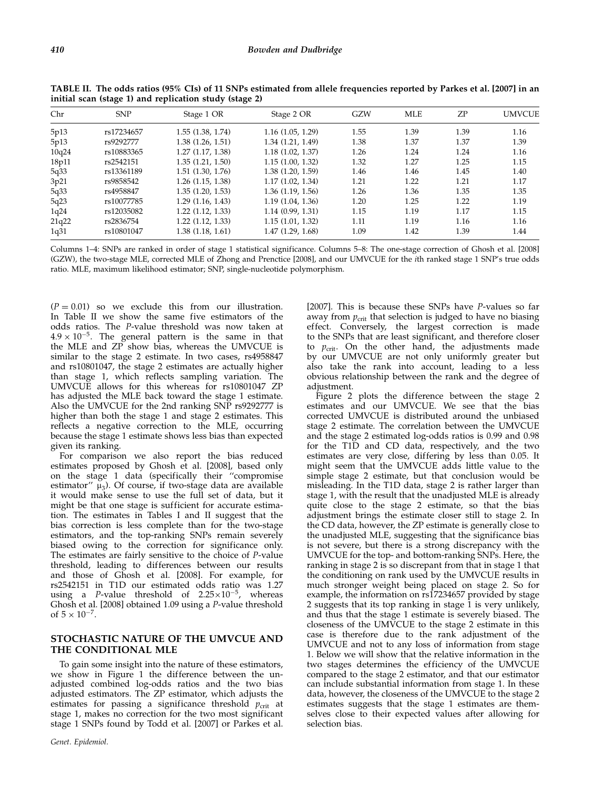| Chr   | <b>SNP</b> | Stage 1 OR            | Stage 2 OR        | GZW  | <b>MLE</b> | ZP   | <b>UMVCUE</b> |
|-------|------------|-----------------------|-------------------|------|------------|------|---------------|
| 5p13  | rs17234657 | 1.55 (1.38, 1.74)     | 1.16(1.05, 1.29)  | 1.55 | 1.39       | 1.39 | 1.16          |
| 5p13  | rs9292777  | 1.38(1.26, 1.51)      | 1.34 (1.21, 1.49) | 1.38 | 1.37       | 1.37 | 1.39          |
| 10q24 | rs10883365 | 1.27(1.17, 1.38)      | 1.18(1.02, 1.37)  | 1.26 | 1.24       | 1.24 | 1.16          |
| 18p11 | rs2542151  | 1.35(1.21, 1.50)      | 1.15(1.00, 1.32)  | 1.32 | 1.27       | 1.25 | 1.15          |
| 5q33  | rs13361189 | 1.51(1.30, 1.76)      | 1.38(1.20, 1.59)  | 1.46 | 1.46       | 1.45 | 1.40          |
| 3p21  | rs9858542  | $1.26$ $(1.15, 1.38)$ | 1.17(1.02, 1.34)  | 1.21 | 1.22       | 1.21 | 1.17          |
| 5q33  | rs4958847  | 1.35(1.20, 1.53)      | 1.36(1.19, 1.56)  | 1.26 | 1.36       | 1.35 | 1.35          |
| 5q23  | rs10077785 | 1.29(1.16, 1.43)      | 1.19(1.04, 1.36)  | 1.20 | 1.25       | 1.22 | 1.19          |
| 1q24  | rs12035082 | 1.22(1.12, 1.33)      | 1.14(0.99, 1.31)  | 1.15 | 1.19       | 1.17 | 1.15          |
| 21q22 | rs2836754  | 1.22(1.12, 1.33)      | 1.15(1.01, 1.32)  | 1.11 | 1.19       | 1.16 | 1.16          |
| 1q31  | rs10801047 | 1.38 (1.18, 1.61)     | 1.47 (1.29, 1.68) | 1.09 | 1.42       | 1.39 | 1.44          |

TABLE II. The odds ratios (95% CIs) of 11 SNPs estimated from allele frequencies reported by Parkes et al. [2007] in an initial scan (stage 1) and replication study (stage 2)

Columns 1–4: SNPs are ranked in order of stage 1 statistical significance. Columns 5–8: The one-stage correction of Ghosh et al. [2008] (GZW), the two-stage MLE, corrected MLE of Zhong and Prenctice [2008], and our UMVCUE for the ith ranked stage 1 SNP's true odds ratio. MLE, maximum likelihood estimator; SNP, single-nucleotide polymorphism.

 $(P = 0.01)$  so we exclude this from our illustration. In Table II we show the same five estimators of the odds ratios. The P-value threshold was now taken at  $4.9 \times 10^{-5}$ . The general pattern is the same in that the MLE and ZP show bias, whereas the UMVCUE is similar to the stage 2 estimate. In two cases, rs4958847 and rs10801047, the stage 2 estimates are actually higher than stage 1, which reflects sampling variation. The UMVCUE allows for this whereas for rs10801047 ZP has adjusted the MLE back toward the stage 1 estimate. Also the UMVCUE for the 2nd ranking SNP rs9292777 is higher than both the stage 1 and stage 2 estimates. This reflects a negative correction to the MLE, occurring because the stage 1 estimate shows less bias than expected given its ranking.

For comparison we also report the bias reduced estimates proposed by Ghosh et al. [2008], based only on the stage 1 data (specifically their ''compromise estimator"  $\mu_3$ ). Of course, if two-stage data are available it would make sense to use the full set of data, but it might be that one stage is sufficient for accurate estimation. The estimates in Tables I and II suggest that the bias correction is less complete than for the two-stage estimators, and the top-ranking SNPs remain severely biased owing to the correction for significance only. The estimates are fairly sensitive to the choice of P-value threshold, leading to differences between our results and those of Ghosh et al. [2008]. For example, for rs2542151 in T1D our estimated odds ratio was 1.27 using a *P*-value threshold of  $2.25 \times 10^{-5}$ , whereas Ghosh et al. [2008] obtained 1.09 using a P-value threshold of  $5 \times 10^{-7}$ .

## STOCHASTIC NATURE OF THE UMVCUE AND THE CONDITIONAL MLE

To gain some insight into the nature of these estimators, we show in Figure 1 the difference between the unadjusted combined log-odds ratios and the two bias adjusted estimators. The ZP estimator, which adjusts the estimates for passing a significance threshold  $p_{\text{crit}}$  at stage 1, makes no correction for the two most significant stage 1 SNPs found by Todd et al. [2007] or Parkes et al. [2007]. This is because these SNPs have P-values so far away from  $p_{\text{crit}}$  that selection is judged to have no biasing effect. Conversely, the largest correction is made to the SNPs that are least significant, and therefore closer to  $p_{\text{crit}}$ . On the other hand, the adjustments made by our UMVCUE are not only uniformly greater but also take the rank into account, leading to a less obvious relationship between the rank and the degree of adjustment.

Figure 2 plots the difference between the stage 2 estimates and our UMVCUE. We see that the bias corrected UMVCUE is distributed around the unbiased stage 2 estimate. The correlation between the UMVCUE and the stage 2 estimated log-odds ratios is 0.99 and 0.98 for the T1D and CD data, respectively, and the two estimates are very close, differing by less than 0.05. It might seem that the UMVCUE adds little value to the simple stage 2 estimate, but that conclusion would be misleading. In the T1D data, stage 2 is rather larger than stage 1, with the result that the unadjusted MLE is already quite close to the stage 2 estimate, so that the bias adjustment brings the estimate closer still to stage 2. In the CD data, however, the ZP estimate is generally close to the unadjusted MLE, suggesting that the significance bias is not severe, but there is a strong discrepancy with the UMVCUE for the top- and bottom-ranking SNPs. Here, the ranking in stage 2 is so discrepant from that in stage 1 that the conditioning on rank used by the UMVCUE results in much stronger weight being placed on stage 2. So for example, the information on rs17234657 provided by stage 2 suggests that its top ranking in stage 1 is very unlikely, and thus that the stage 1 estimate is severely biased. The closeness of the UMVCUE to the stage 2 estimate in this case is therefore due to the rank adjustment of the UMVCUE and not to any loss of information from stage 1. Below we will show that the relative information in the two stages determines the efficiency of the UMVCUE compared to the stage 2 estimator, and that our estimator can include substantial information from stage 1. In these data, however, the closeness of the UMVCUE to the stage 2 estimates suggests that the stage 1 estimates are themselves close to their expected values after allowing for selection bias.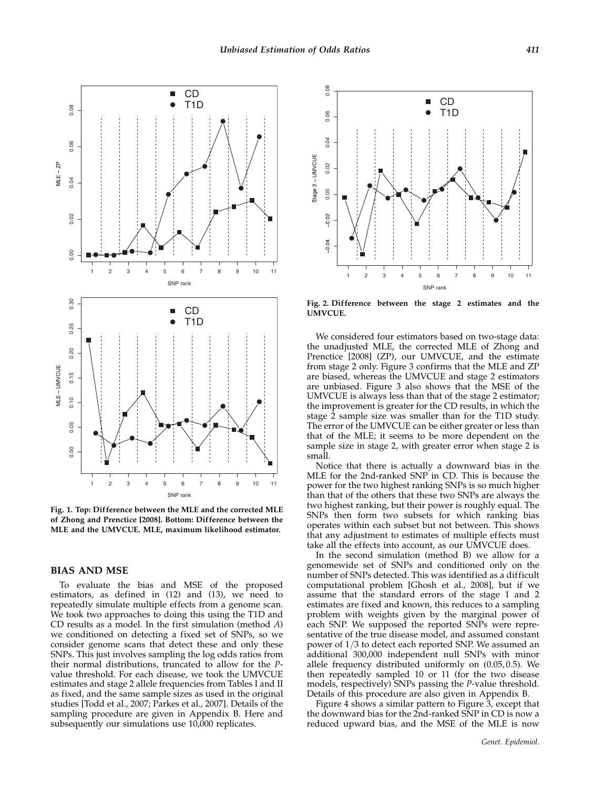

Fig. 1. Top: Difference between the MLE and the corrected MLE of Zhong and Prenctice [2008]. Bottom: Difference between the MLE and the UMVCUE. MLE, maximum likelihood estimator.

#### BIAS AND MSE

To evaluate the bias and MSE of the proposed estimators, as defined in (12) and (13), we need to repeatedly simulate multiple effects from a genome scan. We took two approaches to doing this using the T1D and CD results as a model. In the first simulation (method A) we conditioned on detecting a fixed set of SNPs, so we consider genome scans that detect these and only these SNPs. This just involves sampling the log odds ratios from their normal distributions, truncated to allow for the Pvalue threshold. For each disease, we took the UMVCUE estimates and stage 2 allele frequencies from Tables I and II as fixed, and the same sample sizes as used in the original studies [Todd et al., 2007; Parkes et al., 2007]. Details of the sampling procedure are given in Appendix B. Here and subsequently our simulations use 10,000 replicates.



Fig. 2. Difference between the stage 2 estimates and the UMVCUE.

We considered four estimators based on two-stage data: the unadjusted MLE, the corrected MLE of Zhong and Prenctice [2008] (ZP), our UMVCUE, and the estimate from stage 2 only. Figure 3 confirms that the MLE and ZP are biased, whereas the UMVCUE and stage 2 estimators are unbiased. Figure 3 also shows that the MSE of the UMVCUE is always less than that of the stage 2 estimator; the improvement is greater for the CD results, in which the stage 2 sample size was smaller than for the T1D study. The error of the UMVCUE can be either greater or less than that of the MLE; it seems to be more dependent on the sample size in stage 2, with greater error when stage 2 is small.

Notice that there is actually a downward bias in the MLE for the 2nd-ranked SNP in CD. This is because the power for the two highest ranking SNPs is so much higher than that of the others that these two SNPs are always the two highest ranking, but their power is roughly equal. The SNPs then form two subsets for which ranking bias operates within each subset but not between. This shows that any adjustment to estimates of multiple effects must take all the effects into account, as our UMVCUE does.

In the second simulation (method B) we allow for a genomewide set of SNPs and conditioned only on the number of SNPs detected. This was identified as a difficult computational problem [Ghosh et al., 2008], but if we assume that the standard errors of the stage 1 and 2 estimates are fixed and known, this reduces to a sampling problem with weights given by the marginal power of each SNP. We supposed the reported SNPs were representative of the true disease model, and assumed constant power of  $1/3$  to detect each reported SNP. We assumed an additional 300,000 independent null SNPs with minor allele frequency distributed uniformly on  $(0.05, 0.5)$ . We then repeatedly sampled 10 or 11 (for the two disease models, respectively) SNPs passing the P-value threshold. Details of this procedure are also given in Appendix B.

Figure 4 shows a similar pattern to Figure 3, except that the downward bias for the 2nd-ranked SNP in CD is now a reduced upward bias, and the MSE of the MLE is now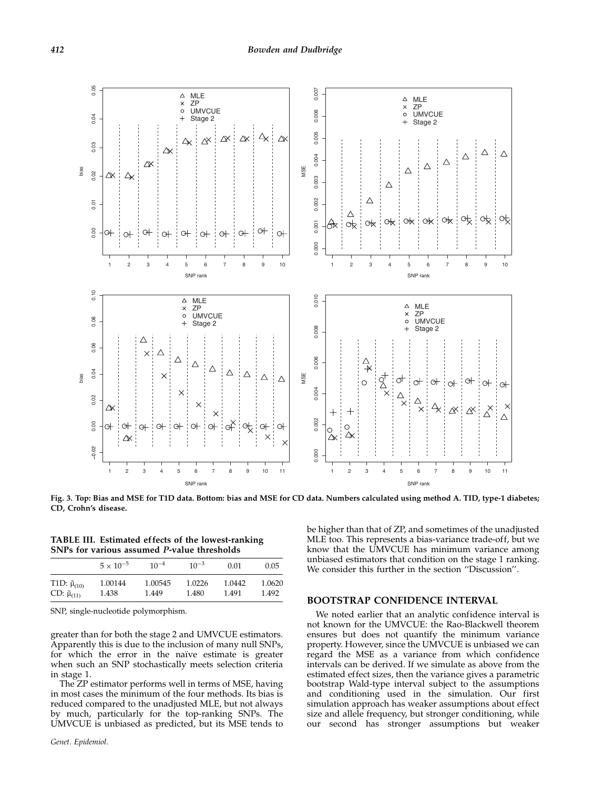

Fig. 3. Top: Bias and MSE for T1D data. Bottom: bias and MSE for CD data. Numbers calculated using method A. TID, type-1 diabetes; CD, Crohn's disease.

TABLE III. Estimated effects of the lowest-ranking SNPs for various assumed P-value thresholds

|                           | $5 \times 10^{-5}$ | $10^{-4}$ | $10^{-3}$ | 0.01   | 0.05   |
|---------------------------|--------------------|-----------|-----------|--------|--------|
| T1D: $\tilde{\mu}_{(10)}$ | 1.00144            | 1.00545   | 1.0226    | 1.0442 | 1.0620 |
| $CD: \tilde{\mu}_{(11)}$  | 1.438              | 1.449     | 1.480     | 1.491  | 1.492  |

SNP, single-nucleotide polymorphism.

greater than for both the stage 2 and UMVCUE estimators. Apparently this is due to the inclusion of many null SNPs, for which the error in the naïve estimate is greater when such an SNP stochastically meets selection criteria in stage 1.

The ZP estimator performs well in terms of MSE, having in most cases the minimum of the four methods. Its bias is reduced compared to the unadjusted MLE, but not always by much, particularly for the top-ranking SNPs. The UMVCUE is unbiased as predicted, but its MSE tends to

be higher than that of ZP, and sometimes of the unadjusted MLE too. This represents a bias-variance trade-off, but we know that the UMVCUE has minimum variance among unbiased estimators that condition on the stage 1 ranking. We consider this further in the section ''Discussion''.

#### BOOTSTRAP CONFIDENCE INTERVAL

We noted earlier that an analytic confidence interval is not known for the UMVCUE: the Rao-Blackwell theorem ensures but does not quantify the minimum variance property. However, since the UMVCUE is unbiased we can regard the MSE as a variance from which confidence intervals can be derived. If we simulate as above from the estimated effect sizes, then the variance gives a parametric bootstrap Wald-type interval subject to the assumptions and conditioning used in the simulation. Our first simulation approach has weaker assumptions about effect size and allele frequency, but stronger conditioning, while our second has stronger assumptions but weaker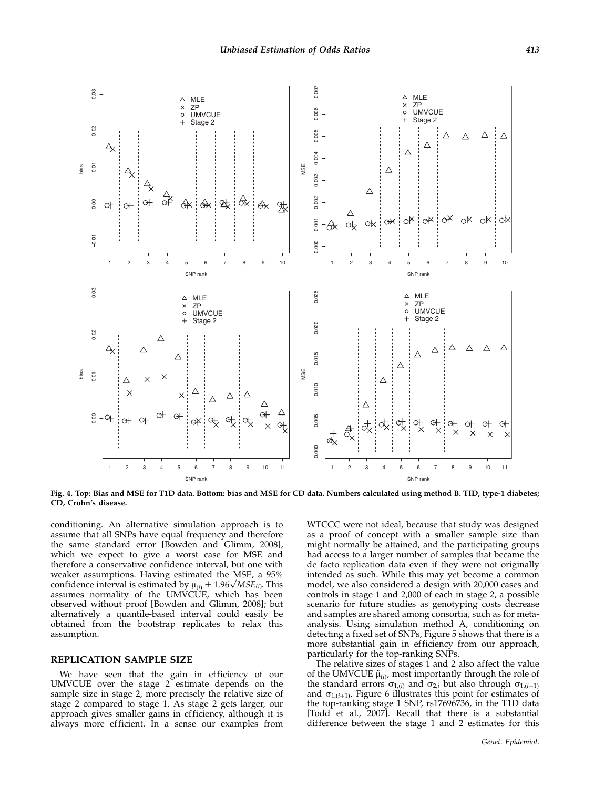

Fig. 4. Top: Bias and MSE for T1D data. Bottom: bias and MSE for CD data. Numbers calculated using method B. TID, type-1 diabetes; CD, Crohn's disease.

conditioning. An alternative simulation approach is to assume that all SNPs have equal frequency and therefore the same standard error [Bowden and Glimm, 2008], which we expect to give a worst case for MSE and therefore a conservative confidence interval, but one with weaker assumptions. Having estimated the MSE, a 95% weaker assumptions. Having estimated the MSE, a 95% confidence interval is estimated by  $\mu_{(i)} \pm 1.96 \sqrt{MSE_{(i)}}$ . This assumes normality of the UMVCUE, which has been observed without proof [Bowden and Glimm, 2008]; but alternatively a quantile-based interval could easily be obtained from the bootstrap replicates to relax this assumption.

#### REPLICATION SAMPLE SIZE

We have seen that the gain in efficiency of our UMVCUE over the stage 2 estimate depends on the sample size in stage 2, more precisely the relative size of stage 2 compared to stage 1. As stage 2 gets larger, our approach gives smaller gains in efficiency, although it is always more efficient. In a sense our examples from

WTCCC were not ideal, because that study was designed as a proof of concept with a smaller sample size than might normally be attained, and the participating groups had access to a larger number of samples that became the de facto replication data even if they were not originally intended as such. While this may yet become a common model, we also considered a design with 20,000 cases and controls in stage 1 and 2,000 of each in stage 2, a possible scenario for future studies as genotyping costs decrease and samples are shared among consortia, such as for metaanalysis. Using simulation method A, conditioning on detecting a fixed set of SNPs, Figure 5 shows that there is a more substantial gain in efficiency from our approach, particularly for the top-ranking SNPs.

The relative sizes of stages 1 and 2 also affect the value of the UMVCUE  $\tilde{\mu}_{(i)}$ , most importantly through the role of the standard errors  $\sigma_{1,(i)}$  and  $\sigma_{2,i}$  but also through  $\sigma_{1,(i-1)}$ and  $\sigma_{1,(i+1)}$ . Figure 6 illustrates this point for estimates of the top-ranking stage 1 SNP, rs17696736, in the T1D data [Todd et al., 2007]. Recall that there is a substantial difference between the stage 1 and 2 estimates for this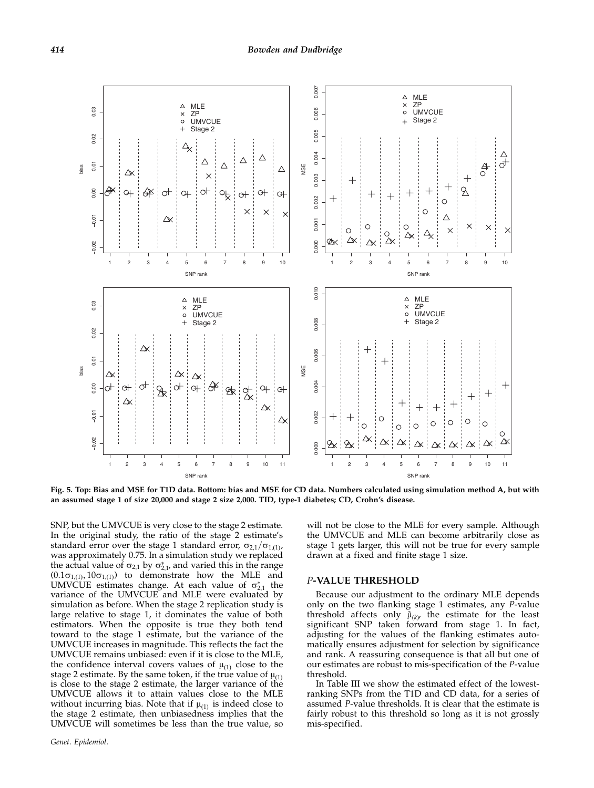

Fig. 5. Top: Bias and MSE for T1D data. Bottom: bias and MSE for CD data. Numbers calculated using simulation method A, but with an assumed stage 1 of size 20,000 and stage 2 size 2,000. TID, type-1 diabetes; CD, Crohn's disease.

SNP, but the UMVCUE is very close to the stage 2 estimate. In the original study, the ratio of the stage 2 estimate's standard error over the stage 1 standard error,  $\sigma_{2,1}/\sigma_{1,(1)}$ , was approximately 0.75. In a simulation study we replaced the actual value of  $\sigma_{2,1}$  by  $\sigma_{2,1}^*$  and varied this in the range  $(0.1\sigma_{1,(1)}, 10\sigma_{1,(1)})$  to demonstrate how the MLE and UMVCUE estimates change. At each value of  $\sigma_{2,1}^*$  the variance of the UMVCUE and MLE were evaluated by simulation as before. When the stage 2 replication study is large relative to stage 1, it dominates the value of both estimators. When the opposite is true they both tend toward to the stage 1 estimate, but the variance of the UMVCUE increases in magnitude. This reflects the fact the UMVCUE remains unbiased: even if it is close to the MLE, the confidence interval covers values of  $\mu_{(1)}$  close to the stage 2 estimate. By the same token, if the true value of  $\mu_{(1)}$ is close to the stage 2 estimate, the larger variance of the UMVCUE allows it to attain values close to the MLE without incurring bias. Note that if  $\mu_{(1)}$  is indeed close to the stage 2 estimate, then unbiasedness implies that the UMVCUE will sometimes be less than the true value, so

Genet. Epidemiol.

will not be close to the MLE for every sample. Although the UMVCUE and MLE can become arbitrarily close as stage 1 gets larger, this will not be true for every sample drawn at a fixed and finite stage 1 size.

#### P-VALUE THRESHOLD

Because our adjustment to the ordinary MLE depends only on the two flanking stage 1 estimates, any  $\overline{P}$ -value threshold affects only  $\tilde{\mu}_{(k)}$  the estimate for the least significant SNP taken forward from stage 1. In fact, adjusting for the values of the flanking estimates automatically ensures adjustment for selection by significance and rank. A reassuring consequence is that all but one of our estimates are robust to mis-specification of the P-value threshold.

In Table III we show the estimated effect of the lowestranking SNPs from the T1D and CD data, for a series of assumed P-value thresholds. It is clear that the estimate is fairly robust to this threshold so long as it is not grossly mis-specified.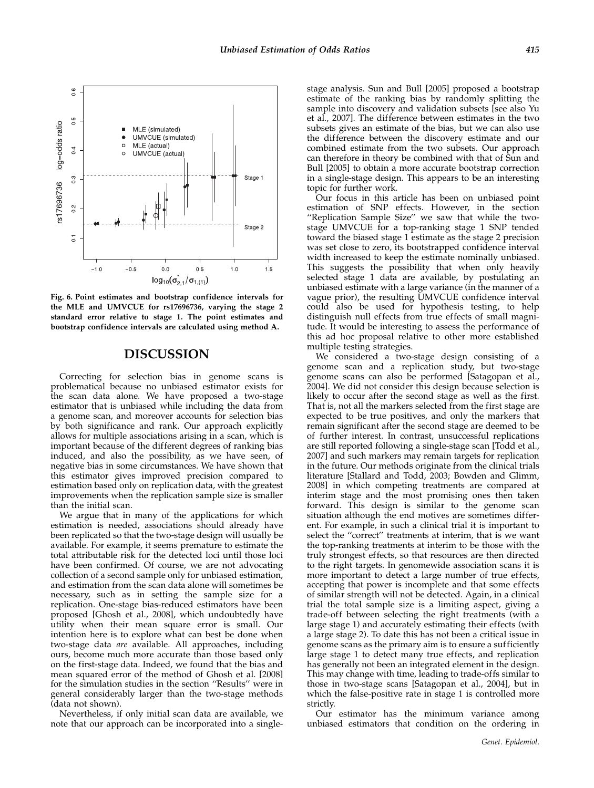

Fig. 6. Point estimates and bootstrap confidence intervals for the MLE and UMVCUE for rs17696736, varying the stage 2 standard error relative to stage 1. The point estimates and bootstrap confidence intervals are calculated using method A.

## DISCUSSION

Correcting for selection bias in genome scans is problematical because no unbiased estimator exists for the scan data alone. We have proposed a two-stage estimator that is unbiased while including the data from a genome scan, and moreover accounts for selection bias by both significance and rank. Our approach explicitly allows for multiple associations arising in a scan, which is important because of the different degrees of ranking bias induced, and also the possibility, as we have seen, of negative bias in some circumstances. We have shown that this estimator gives improved precision compared to estimation based only on replication data, with the greatest improvements when the replication sample size is smaller than the initial scan.

We argue that in many of the applications for which estimation is needed, associations should already have been replicated so that the two-stage design will usually be available. For example, it seems premature to estimate the total attributable risk for the detected loci until those loci have been confirmed. Of course, we are not advocating collection of a second sample only for unbiased estimation, and estimation from the scan data alone will sometimes be necessary, such as in setting the sample size for a replication. One-stage bias-reduced estimators have been proposed [Ghosh et al., 2008], which undoubtedly have utility when their mean square error is small. Our intention here is to explore what can best be done when two-stage data are available. All approaches, including ours, become much more accurate than those based only on the first-stage data. Indeed, we found that the bias and mean squared error of the method of Ghosh et al. [2008] for the simulation studies in the section ''Results'' were in general considerably larger than the two-stage methods (data not shown).

Nevertheless, if only initial scan data are available, we note that our approach can be incorporated into a singlestage analysis. Sun and Bull [2005] proposed a bootstrap estimate of the ranking bias by randomly splitting the sample into discovery and validation subsets [see also Yu et al., 2007]. The difference between estimates in the two subsets gives an estimate of the bias, but we can also use the difference between the discovery estimate and our combined estimate from the two subsets. Our approach can therefore in theory be combined with that of Sun and Bull [2005] to obtain a more accurate bootstrap correction in a single-stage design. This appears to be an interesting topic for further work.

Our focus in this article has been on unbiased point estimation of SNP effects. However, in the section ''Replication Sample Size'' we saw that while the twostage UMVCUE for a top-ranking stage 1 SNP tended toward the biased stage 1 estimate as the stage 2 precision was set close to zero, its bootstrapped confidence interval width increased to keep the estimate nominally unbiased. This suggests the possibility that when only heavily selected stage 1 data are available, by postulating an unbiased estimate with a large variance (in the manner of a vague prior), the resulting UMVCUE confidence interval could also be used for hypothesis testing, to help distinguish null effects from true effects of small magnitude. It would be interesting to assess the performance of this ad hoc proposal relative to other more established multiple testing strategies.

We considered a two-stage design consisting of a genome scan and a replication study, but two-stage genome scans can also be performed [Satagopan et al., 2004]. We did not consider this design because selection is likely to occur after the second stage as well as the first. That is, not all the markers selected from the first stage are expected to be true positives, and only the markers that remain significant after the second stage are deemed to be of further interest. In contrast, unsuccessful replications are still reported following a single-stage scan [Todd et al., 2007] and such markers may remain targets for replication in the future. Our methods originate from the clinical trials literature [Stallard and Todd, 2003; Bowden and Glimm, 2008] in which competing treatments are compared at interim stage and the most promising ones then taken forward. This design is similar to the genome scan situation although the end motives are sometimes different. For example, in such a clinical trial it is important to select the ''correct'' treatments at interim, that is we want the top-ranking treatments at interim to be those with the truly strongest effects, so that resources are then directed to the right targets. In genomewide association scans it is more important to detect a large number of true effects, accepting that power is incomplete and that some effects of similar strength will not be detected. Again, in a clinical trial the total sample size is a limiting aspect, giving a trade-off between selecting the right treatments (with a large stage 1) and accurately estimating their effects (with a large stage 2). To date this has not been a critical issue in genome scans as the primary aim is to ensure a sufficiently large stage 1 to detect many true effects, and replication has generally not been an integrated element in the design. This may change with time, leading to trade-offs similar to those in two-stage scans [Satagopan et al., 2004], but in which the false-positive rate in stage 1 is controlled more strictly.

Our estimator has the minimum variance among unbiased estimators that condition on the ordering in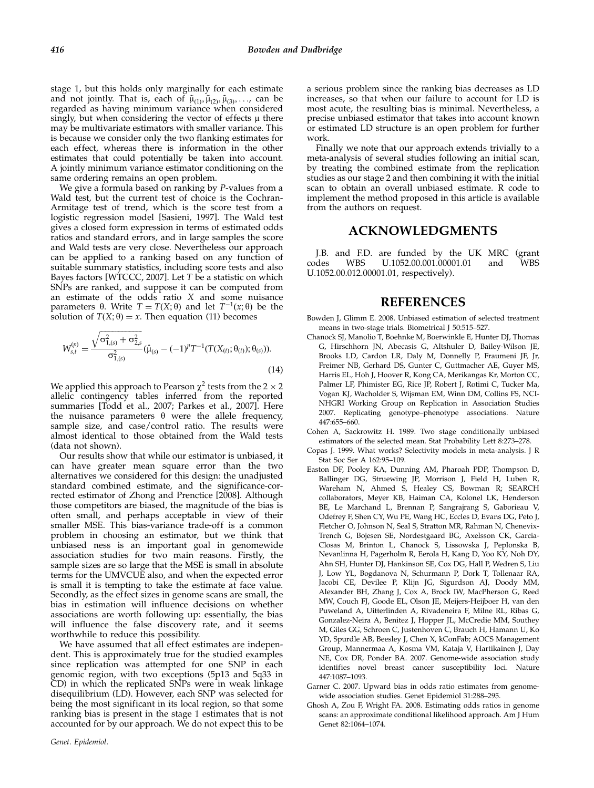stage 1, but this holds only marginally for each estimate and not jointly. That is, each of  $\tilde{\mu}_{(1)}, \tilde{\mu}_{(2)}, \tilde{\mu}_{(3)}, \ldots$ , can be regarded as having minimum variance when considered singly, but when considering the vector of effects  $\mu$  there may be multivariate estimators with smaller variance. This is because we consider only the two flanking estimates for each effect, whereas there is information in the other estimates that could potentially be taken into account. A jointly minimum variance estimator conditioning on the same ordering remains an open problem.

We give a formula based on ranking by P-values from a Wald test, but the current test of choice is the Cochran-Armitage test of trend, which is the score test from a logistic regression model [Sasieni, 1997]. The Wald test gives a closed form expression in terms of estimated odds ratios and standard errors, and in large samples the score and Wald tests are very close. Nevertheless our approach can be applied to a ranking based on any function of suitable summary statistics, including score tests and also Bayes factors [WTCCC, 2007]. Let  $T$  be a statistic on which SNPs are ranked, and suppose it can be computed from an estimate of the odds ratio X and some nuisance parameters  $\theta$ . Write  $T = T(X; \theta)$  and let  $T^{-1}(x; \theta)$  be the solution of  $T(X; \theta) = x$ . Then equation (11) becomes

$$
W_{s,t}^{(p)} = \frac{\sqrt{\sigma_{1,(s)}^2 + \sigma_{2,s}^2}}{\sigma_{1,(s)}^2} (\hat{\mu}_{(s)} - (-1)^p T^{-1} (T(X_{(t)}; \theta_{(t)}); \theta_{(s)})).
$$
\n(14)

We applied this approach to Pearson  $\chi^2$  tests from the 2  $\times$  2 allelic contingency tables inferred from the reported summaries [Todd et al., 2007; Parkes et al., 2007]. Here the nuisance parameters  $\theta$  were the allele frequency, sample size, and case/control ratio. The results were almost identical to those obtained from the Wald tests (data not shown).

Our results show that while our estimator is unbiased, it can have greater mean square error than the two alternatives we considered for this design: the unadjusted standard combined estimate, and the significance-corrected estimator of Zhong and Prenctice [2008]. Although those competitors are biased, the magnitude of the bias is often small, and perhaps acceptable in view of their smaller MSE. This bias-variance trade-off is a common problem in choosing an estimator, but we think that unbiased ness is an important goal in genomewide association studies for two main reasons. Firstly, the sample sizes are so large that the MSE is small in absolute terms for the UMVCUE also, and when the expected error is small it is tempting to take the estimate at face value. Secondly, as the effect sizes in genome scans are small, the bias in estimation will influence decisions on whether associations are worth following up: essentially, the bias will influence the false discovery rate, and it seems worthwhile to reduce this possibility.

We have assumed that all effect estimates are independent. This is approximately true for the studied examples since replication was attempted for one SNP in each genomic region, with two exceptions (5p13 and 5q33 in CD) in which the replicated SNPs were in weak linkage disequilibrium (LD). However, each SNP was selected for being the most significant in its local region, so that some ranking bias is present in the stage 1 estimates that is not accounted for by our approach. We do not expect this to be

a serious problem since the ranking bias decreases as LD increases, so that when our failure to account for LD is most acute, the resulting bias is minimal. Nevertheless, a precise unbiased estimator that takes into account known or estimated LD structure is an open problem for further work.

Finally we note that our approach extends trivially to a meta-analysis of several studies following an initial scan, by treating the combined estimate from the replication studies as our stage 2 and then combining it with the initial scan to obtain an overall unbiased estimate. R code to implement the method proposed in this article is available from the authors on request.

## ACKNOWLEDGMENTS

J.B. and F.D. are funded by the UK MRC (grant codes WBS U.1052.00.001.00001.01 and WBS U.1052.00.012.00001.01, respectively).

## REFERENCES

- Bowden J, Glimm E. 2008. Unbiased estimation of selected treatment means in two-stage trials. Biometrical J 50:515–527.
- Chanock SJ, Manolio T, Boehnke M, Boerwinkle E, Hunter DJ, Thomas G, Hirschhorn JN, Abecasis G, Altshuler D, Bailey-Wilson JE, Brooks LD, Cardon LR, Daly M, Donnelly P, Fraumeni JF, Jr, Freimer NB, Gerhard DS, Gunter C, Guttmacher AE, Guyer MS, Harris EL, Hoh J, Hoover R, Kong CA, Merikangas Kr, Morton CC, Palmer LF, Phimister EG, Rice JP, Robert J, Rotimi C, Tucker Ma, Vogan KJ, Wacholder S, Wijsman EM, Winn DM, Collins FS, NCI-NHGRI Working Group on Replication in Association Studies 2007. Replicating genotype–phenotype associations. Nature 447:655–660.
- Cohen A, Sackrowitz H. 1989. Two stage conditionally unbiased estimators of the selected mean. Stat Probability Lett 8:273–278.
- Copas J. 1999. What works? Selectivity models in meta-analysis. J R Stat Soc Ser A 162:95–109.
- Easton DF, Pooley KA, Dunning AM, Pharoah PDP, Thompson D, Ballinger DG, Struewing JP, Morrison J, Field H, Luben R, Wareham N, Ahmed S, Healey CS, Bowman R; SEARCH collaborators, Meyer KB, Haiman CA, Kolonel LK, Henderson BE, Le Marchand L, Brennan P, Sangrajrang S, Gaborieau V, Odefrey F, Shen CY, Wu PE, Wang HC, Eccles D, Evans DG, Peto J, Fletcher O, Johnson N, Seal S, Stratton MR, Rahman N, Chenevix-Trench G, Bojesen SE, Nordestgaard BG, Axelsson CK, Garcia-Closas M, Brinton L, Chanock S, Lissowska J, Peplonska B, Nevanlinna H, Pagerholm R, Eerola H, Kang D, Yoo KY, Noh DY, Ahn SH, Hunter DJ, Hankinson SE, Cox DG, Hall P, Wedren S, Liu J, Low YL, Bogdanova N, Schurmann P, Dork T, Tollenaar RA, Jacobi CE, Devilee P, Klijn JG, Sigurdson AJ, Doody MM, Alexander BH, Zhang J, Cox A, Brock IW, MacPherson G, Reed MW, Couch FJ, Goode EL, Olson JE, Meijers-Heijboer H, van den Puweland A, Uitterlinden A, Rivadeneira F, Milne RL, Ribas G, Gonzalez-Neira A, Benitez J, Hopper JL, McCredie MM, Southey M, Giles GG, Schroen C, Justenhoven C, Brauch H, Hamann U, Ko YD, Spurdle AB, Beesley J, Chen X, kConFab; AOCS Management Group, Mannermaa A, Kosma VM, Kataja V, Hartikainen J, Day NE, Cox DR, Ponder BA. 2007. Genome-wide association study identifies novel breast cancer susceptibility loci. Nature 447:1087–1093.
- Garner C. 2007. Upward bias in odds ratio estimates from genomewide association studies. Genet Epidemiol 31:288–295.
- Ghosh A, Zou F, Wright FA. 2008. Estimating odds ratios in genome scans: an approximate conditional likelihood approach. Am J Hum Genet 82:1064–1074.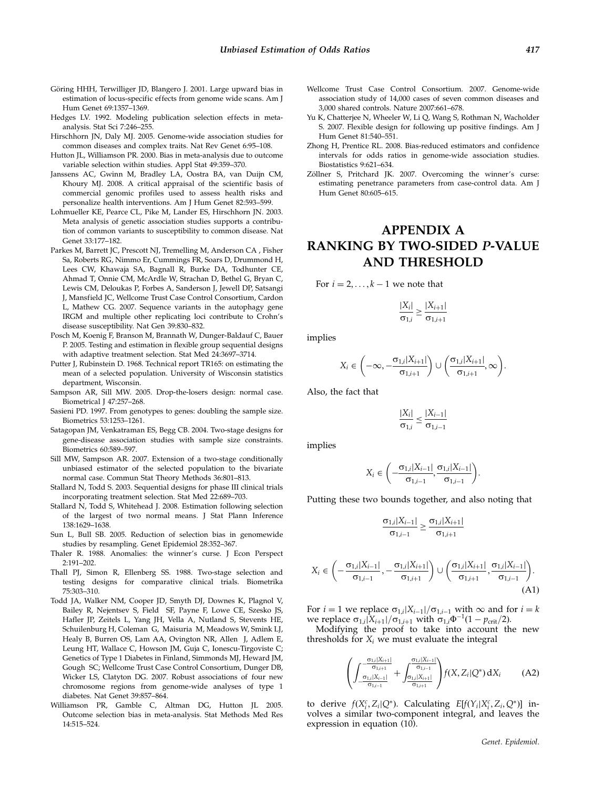- Göring HHH, Terwilliger JD, Blangero J. 2001. Large upward bias in estimation of locus-specific effects from genome wide scans. Am J Hum Genet 69:1357–1369.
- Hedges LV. 1992. Modeling publication selection effects in metaanalysis. Stat Sci 7:246–255.
- Hirschhorn JN, Daly MJ. 2005. Genome-wide association studies for common diseases and complex traits. Nat Rev Genet 6:95–108.
- Hutton JL, Williamson PR. 2000. Bias in meta-analysis due to outcome variable selection within studies. Appl Stat 49:359–370.
- Janssens AC, Gwinn M, Bradley LA, Oostra BA, van Duijn CM, Khoury MJ. 2008. A critical appraisal of the scientific basis of commercial genomic profiles used to assess health risks and personalize health interventions. Am J Hum Genet 82:593–599.
- Lohmueller KE, Pearce CL, Pike M, Lander ES, Hirschhorn JN. 2003. Meta analysis of genetic association studies supports a contribution of common variants to susceptibility to common disease. Nat Genet 33:177–182.
- Parkes M, Barrett JC, Prescott NJ, Tremelling M, Anderson CA , Fisher Sa, Roberts RG, Nimmo Er, Cummings FR, Soars D, Drummond H, Lees CW, Khawaja SA, Bagnall R, Burke DA, Todhunter CE, Ahmad T, Onnie CM, McArdle W, Strachan D, Bethel G, Bryan C, Lewis CM, Deloukas P, Forbes A, Sanderson J, Jewell DP, Satsangi J, Mansfield JC, Wellcome Trust Case Control Consortium, Cardon L, Mathew CG. 2007. Sequence variants in the autophagy gene IRGM and multiple other replicating loci contribute to Crohn's disease susceptibility. Nat Gen 39:830–832.
- Posch M, Koenig F, Branson M, Brannath W, Dunger-Baldauf C, Bauer P. 2005. Testing and estimation in flexible group sequential designs with adaptive treatment selection. Stat Med 24:3697–3714.
- Putter J, Rubinstein D. 1968. Technical report TR165: on estimating the mean of a selected population. University of Wisconsin statistics department, Wisconsin.
- Sampson AR, Sill MW. 2005. Drop-the-losers design: normal case. Biometrical J 47:257–268.
- Sasieni PD. 1997. From genotypes to genes: doubling the sample size. Biometrics 53:1253–1261.
- Satagopan JM, Venkatraman ES, Begg CB. 2004. Two-stage designs for gene-disease association studies with sample size constraints. Biometrics 60:589–597.
- Sill MW, Sampson AR. 2007. Extension of a two-stage conditionally unbiased estimator of the selected population to the bivariate normal case. Commun Stat Theory Methods 36:801–813.
- Stallard N, Todd S. 2003. Sequential designs for phase III clinical trials incorporating treatment selection. Stat Med 22:689–703.
- Stallard N, Todd S, Whitehead J. 2008. Estimation following selection of the largest of two normal means. J Stat Plann Inference 138:1629–1638.
- Sun L, Bull SB. 2005. Reduction of selection bias in genomewide studies by resampling. Genet Epidemiol 28:352–367.
- Thaler R. 1988. Anomalies: the winner's curse. J Econ Perspect 2:191–202.
- Thall PJ, Simon R, Ellenberg SS. 1988. Two-stage selection and testing designs for comparative clinical trials. Biometrika 75:303–310.
- Todd JA, Walker NM, Cooper JD, Smyth DJ, Downes K, Plagnol V, Bailey R, Nejentsev S, Field SF, Payne F, Lowe CE, Szesko JS, Hafler JP, Zeitels L, Yang JH, Vella A, Nutland S, Stevents HE, Schuilenburg H, Coleman G, Maisuria M, Meadows W, Smink LJ, Healy B, Burren OS, Lam AA, Ovington NR, Allen J, Adlem E, Leung HT, Wallace C, Howson JM, Guja C, Ionescu-Tirgoviste C; Genetics of Type 1 Diabetes in Finland, Simmonds MJ, Heward JM, Gough SC; Wellcome Trust Case Control Consortium, Dunger DB, Wicker LS, Clatyton DG. 2007. Robust associations of four new chromosome regions from genome-wide analyses of type 1 diabetes. Nat Genet 39:857–864.
- Williamson PR, Gamble C, Altman DG, Hutton JL 2005. Outcome selection bias in meta-analysis. Stat Methods Med Res 14:515–524.
- Wellcome Trust Case Control Consortium. 2007. Genome-wide association study of 14,000 cases of seven common diseases and 3,000 shared controls. Nature 2007:661–678.
- Yu K, Chatterjee N, Wheeler W, Li Q, Wang S, Rothman N, Wacholder S. 2007. Flexible design for following up positive findings. Am J Hum Genet 81:540–551.
- Zhong H, Prentice RL. 2008. Bias-reduced estimators and confidence intervals for odds ratios in genome-wide association studies. Biostatistics 9:621–634.
- Zöllner S, Pritchard JK. 2007. Overcoming the winner's curse: estimating penetrance parameters from case-control data. Am J Hum Genet 80:605–615.

## APPENDIX A RANKING BY TWO-SIDED P-VALUE AND THRESHOLD

For  $i = 2, \ldots, k - 1$  we note that

$$
\frac{|X_i|}{\sigma_{1,i}} \geq \frac{|X_{i+1}|}{\sigma_{1,i+1}}
$$

implies

$$
X_i \in \left(-\infty, -\frac{\sigma_{1,i}|X_{i+1}|}{\sigma_{1,i+1}}\right) \cup \left(\frac{\sigma_{1,i}|X_{i+1}|}{\sigma_{1,i+1}}, \infty\right).
$$

Also, the fact that

$$
\frac{|X_i|}{\sigma_{1,i}} \le \frac{|X_{i-1}|}{\sigma_{1,i-1}}
$$

implies

$$
X_i \in \left(-\frac{\sigma_{1,i}|X_{i-1}|}{\sigma_{1,i-1}}, \frac{\sigma_{1,i}|X_{i-1}|}{\sigma_{1,i-1}}\right).
$$

Putting these two bounds together, and also noting that

$$
\frac{\sigma_{1,i}|X_{i-1}|}{\sigma_{1,i-1}} \ge \frac{\sigma_{1,i}|X_{i+1}|}{\sigma_{1,i+1}}
$$

$$
X_{i} \in \left(-\frac{\sigma_{1,i}|X_{i-1}|}{\sigma_{1,i-1}}, -\frac{\sigma_{1,i}|X_{i+1}|}{\sigma_{1,i+1}}\right) \cup \left(\frac{\sigma_{1,i}|X_{i+1}|}{\sigma_{1,i+1}}, \frac{\sigma_{1,i}|X_{i-1}|}{\sigma_{1,i-1}}\right). \tag{A1}
$$

For  $i = 1$  we replace  $\sigma_{1,i}|X_{i-1}|/\sigma_{1,i-1}$  with  $\infty$  and for  $i = k$ we replace  $\sigma_{1,i}|X_{i+1}|/\sigma_{1,i+1}$  with  $\sigma_{1,i}\Phi^{-1}(1 - p_{\rm crit}/2)$ .

Modifying the proof to take into account the new thresholds for  $X_i$  we must evaluate the integral

$$
\left(\int_{-\frac{\sigma_{1,i}|X_{i+1}|}{\sigma_{1,i+1}}}^{-\frac{\sigma_{1,i}|X_{i+1}|}{\sigma_{1,i+1}}} + \int_{\frac{\sigma_{1,i}|X_{i-1}|}{\sigma_{1,i+1}}}^{\frac{\sigma_{1,i}|X_{i-1}|}{\sigma_{1,i-1}}} \right) f(X, Z_i|Q^*) \,dX_i \tag{A2}
$$

to derive  $f(X_i^c, Z_i | Q^*)$ . Calculating  $E[f(Y_i | X_i^c, Z_i, Q^*)]$  involves a similar two-component integral, and leaves the expression in equation (10).